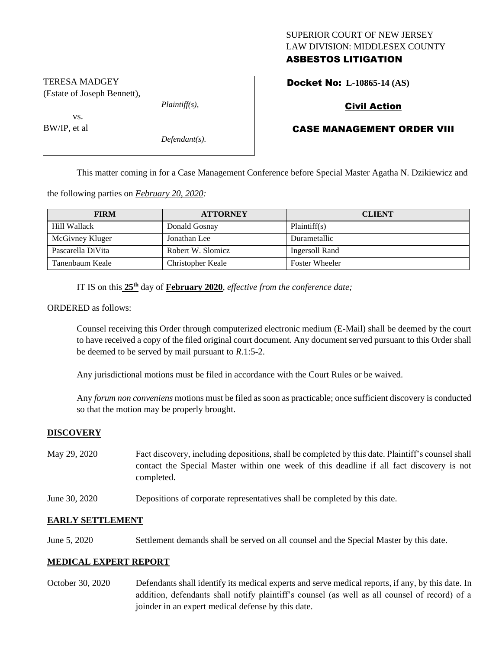## SUPERIOR COURT OF NEW JERSEY LAW DIVISION: MIDDLESEX COUNTY ASBESTOS LITIGATION

Docket No: **L-10865-14 (AS)** 

# Civil Action

# CASE MANAGEMENT ORDER VIII

This matter coming in for a Case Management Conference before Special Master Agatha N. Dzikiewicz and

the following parties on *February 20, 2020:*

*Plaintiff(s),*

*Defendant(s).*

| <b>FIRM</b>       | <b>ATTORNEY</b>   | <b>CLIENT</b>         |
|-------------------|-------------------|-----------------------|
| Hill Wallack      | Donald Gosnay     | Plaintiff(s)          |
| McGivney Kluger   | Jonathan Lee      | Durametallic          |
| Pascarella DiVita | Robert W. Slomicz | Ingersoll Rand        |
| Tanenbaum Keale   | Christopher Keale | <b>Foster Wheeler</b> |

IT IS on this  $25<sup>th</sup>$  day of **February 2020**, *effective from the conference date*;

ORDERED as follows:

Counsel receiving this Order through computerized electronic medium (E-Mail) shall be deemed by the court to have received a copy of the filed original court document. Any document served pursuant to this Order shall be deemed to be served by mail pursuant to *R*.1:5-2.

Any jurisdictional motions must be filed in accordance with the Court Rules or be waived.

Any *forum non conveniens* motions must be filed as soon as practicable; once sufficient discovery is conducted so that the motion may be properly brought.

#### **DISCOVERY**

- May 29, 2020 Fact discovery, including depositions, shall be completed by this date. Plaintiff's counsel shall contact the Special Master within one week of this deadline if all fact discovery is not completed.
- June 30, 2020 Depositions of corporate representatives shall be completed by this date.

#### **EARLY SETTLEMENT**

June 5, 2020 Settlement demands shall be served on all counsel and the Special Master by this date.

#### **MEDICAL EXPERT REPORT**

October 30, 2020 Defendants shall identify its medical experts and serve medical reports, if any, by this date. In addition, defendants shall notify plaintiff's counsel (as well as all counsel of record) of a joinder in an expert medical defense by this date.

TERESA MADGEY (Estate of Joseph Bennett),

BW/IP, et al

vs.